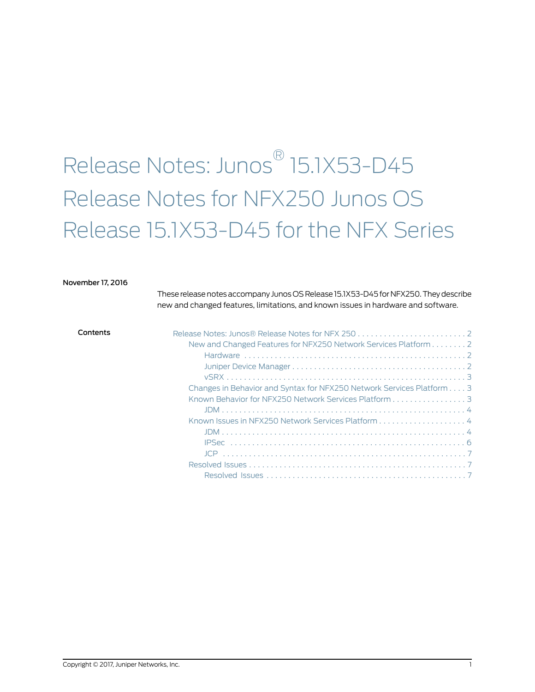# Release Notes: Junos ® 15.1X53-D45 Release Notes for NFX250 Junos OS Release 15.1X53-D45 for the NFX Series

#### November 17, 2016

These release notes accompany Junos OS Release 15.1X53-D45 for NFX250. They describe new and changed features, limitations, and known issues in hardware and software.

| Contents | New and Changed Features for NFX250 Network Services Platform 2       |
|----------|-----------------------------------------------------------------------|
|          |                                                                       |
|          |                                                                       |
|          |                                                                       |
|          | Changes in Behavior and Syntax for NFX250 Network Services Platform 3 |
|          | Known Behavior for NFX250 Network Services Platform 3                 |
|          |                                                                       |
|          |                                                                       |
|          |                                                                       |
|          |                                                                       |
|          |                                                                       |
|          |                                                                       |
|          |                                                                       |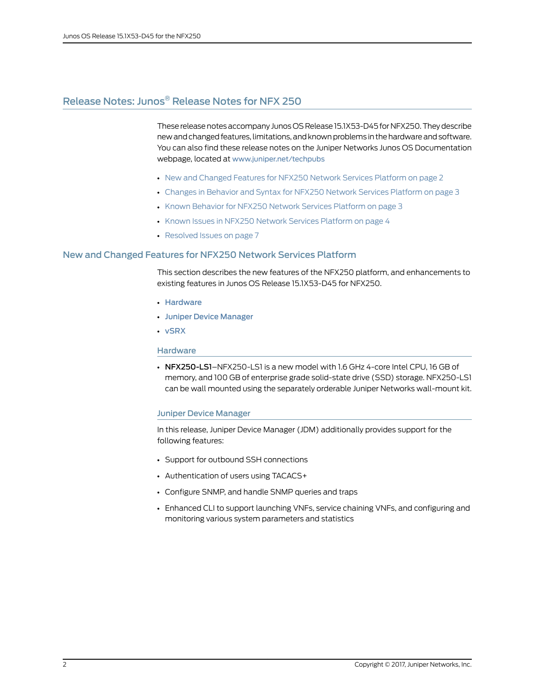## <span id="page-1-0"></span>Release Notes: Junos ® Release Notes for NFX 250

These release notes accompany Junos OS Release 15.1X53-D45 for NFX250. They describe new and changed features, limitations, and known problems in the hardware and software. You can also find these release notes on the Juniper Networks Junos OS Documentation webpage, located at <www.juniper.net/techpubs>

- New and [Changed](#page-1-1) Features for NFX250 Network Services Platform on [page](#page-1-1) 2
- Changes in Behavior and Syntax for NFX250 Network Services [Platform](#page-2-1) on [page](#page-2-1) 3
- Known Behavior for NFX250 Network Services [Platform](#page-2-2) on [page](#page-2-2) 3
- Known Issues in NFX250 Network Services [Platform](#page-3-1) on [page](#page-3-1) 4
- [Resolved](#page-6-1) Issues on [page](#page-6-1) 7

## <span id="page-1-1"></span>New and Changed Features for NFX250 Network Services Platform

This section describes the new features of the NFX250 platform, and enhancements to existing features in Junos OS Release 15.1X53-D45 for NFX250.

- [Hardware](#page-1-2)
- <span id="page-1-2"></span>• Juniper Device [Manager](#page-1-3)
- [vSRX](#page-2-0)

#### **Hardware**

<span id="page-1-3"></span>• NFX250-LS1-NFX250-LS1 is a new model with 1.6 GHz 4-core Intel CPU, 16 GB of memory, and 100 GB of enterprise grade solid-state drive (SSD) storage. NFX250-LS1 can be wall mounted using the separately orderable Juniper Networks wall-mount kit.

#### Juniper Device Manager

In this release, Juniper Device Manager (JDM) additionally provides support for the following features:

- Support for outbound SSH connections
- Authentication of users using TACACS+
- Configure SNMP, and handle SNMP queries and traps
- Enhanced CLI to support launching VNFs, service chaining VNFs, and configuring and monitoring various system parameters and statistics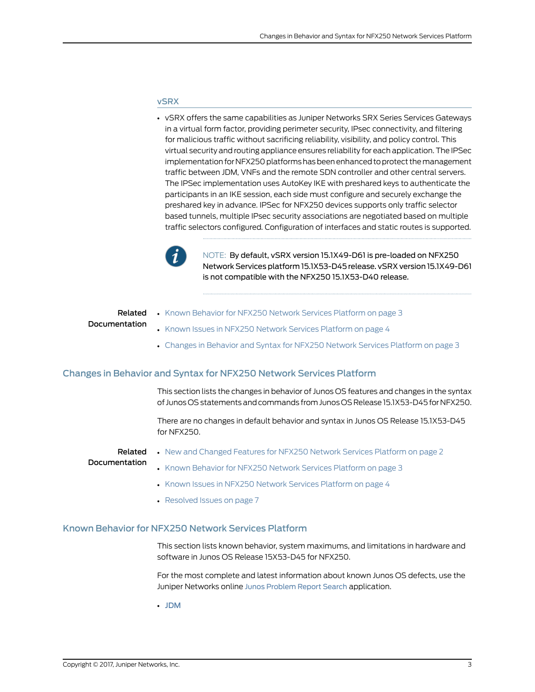#### <span id="page-2-0"></span>vSRX

• vSRX offers the same capabilities as Juniper Networks SRX Series Services Gateways in a virtual form factor, providing perimeter security, IPsec connectivity, and filtering for malicious traffic without sacrificing reliability, visibility, and policy control. This virtual security and routing appliance ensures reliability for each application. The IPSec implementation for NFX250 platforms has been enhanced to protect the management traffic between JDM, VNFs and the remote SDN controller and other central servers. The IPSec implementation uses AutoKey IKE with preshared keys to authenticate the participants in an IKE session, each side must configure and securely exchange the preshared key in advance. IPSec for NFX250 devices supports only traffic selector based tunnels, multiple IPsec security associations are negotiated based on multiple traffic selectors configured. Configuration of interfaces and static routes is supported.



NOTE: By default, vSRX version 15.1X49-D61 is pre-loaded on NFX250 Network Services platform 15.1X53-D45 release. vSRX version 15.1X49-D61 is not compatible with the NFX250 15.1X53-D40 release.

<span id="page-2-1"></span>

|               | <b>Related</b> • Known Behavior for NFX250 Network Services Platform on page 3  |
|---------------|---------------------------------------------------------------------------------|
| Documentation | • Known Issues in NFX250 Network Services Platform on page 4                    |
|               | • Changes in Behavior and Syntax for NFX250 Network Services Platform on page 3 |

## Changes in Behavior and Syntax for NFX250 Network Services Platform

This section lists the changes in behavior of Junos OS features and changes in the syntax of Junos OS statements and commands from Junos OS Release 15.1X53-D45 for NFX250.

There are no changes in default behavior and syntax in Junos OS Release 15.1X53-D45 for NFX250.

#### Related Documentation

• New and [Changed](#page-1-1) Features for NFX250 Network Services Platform on page 2

<span id="page-2-2"></span>

- Known Behavior for NFX250 Network Services [Platform](#page-2-2) on page 3
- Known Issues in NFX250 Network Services [Platform](#page-3-1) on page 4
- [Resolved](#page-6-1) Issues on page 7

#### Known Behavior for NFX250 Network Services Platform

This section lists known behavior, system maximums, and limitations in hardware and software in Junos OS Release 15X53-D45 for NFX250.

For the most complete and latest information about known Junos OS defects, use the Juniper Networks online Junos [Problem](http://prsearch.juniper.net) Report Search application.

• [JDM](#page-3-0)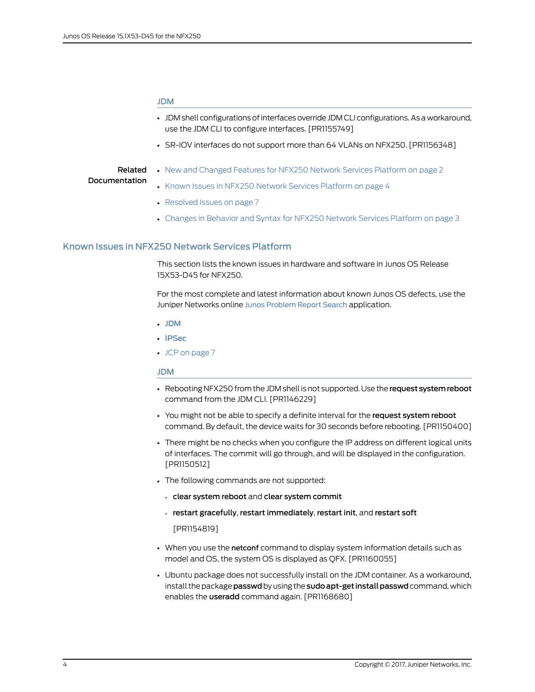#### <span id="page-3-0"></span>JDM

- JDM shell configurations ofinterfaces override JDM CLI configurations. As a workaround, use the JDM CLI to configure interfaces. [PR1155749]
- SR-IOV interfaces do not support more than 64 VLANs on NFX250. [PR1156348]

#### Related **Documentation**

- New and [Changed](#page-1-1) Features for NFX250 Network Services Platform on page 2
- Known Issues in NFX250 Network Services [Platform](#page-3-1) on page 4
- [Resolved](#page-6-1) Issues on page 7
- Changes in Behavior and Syntax for NFX250 Network Services [Platform](#page-2-1) on page 3

#### <span id="page-3-1"></span>Known Issues in NFX250 Network Services Platform

This section lists the known issues in hardware and software in Junos OS Release 15X53-D45 for NFX250.

For the most complete and latest information about known Junos OS defects, use the Juniper Networks online Junos [Problem](http://prsearch.juniper.net) Report Search application.

- [JDM](#page-3-2)
- <span id="page-3-2"></span>• [IPSec](#page-5-0)
- JCP on [page](#page-6-0) 7

#### JDM

- Rebooting NFX250 from the JDM shell is not supported. Use the request system reboot command from the JDM CLI. [PR1146229]
- You might not be able to specify a definite interval for the request system reboot command. By default, the device waits for 30 seconds before rebooting. [PR1150400]
- There might be no checks when you configure the IP address on different logical units of interfaces. The commit will go through, and will be displayed in the configuration. [PR1150512]
- The following commands are not supported:
	- clear system reboot and clear system commit
	- restart gracefully, restart immediately, restart init, and restart soft

[PR1154819]

- When you use the netconf command to display system information details such as model and OS, the system OS is displayed as QFX. [PR1160055]
- Ubuntu package does not successfully install on the JDM container. As a workaround, install the package passwd by using the sudo apt-get install passwd command, which enables the useradd command again. [PR1168680]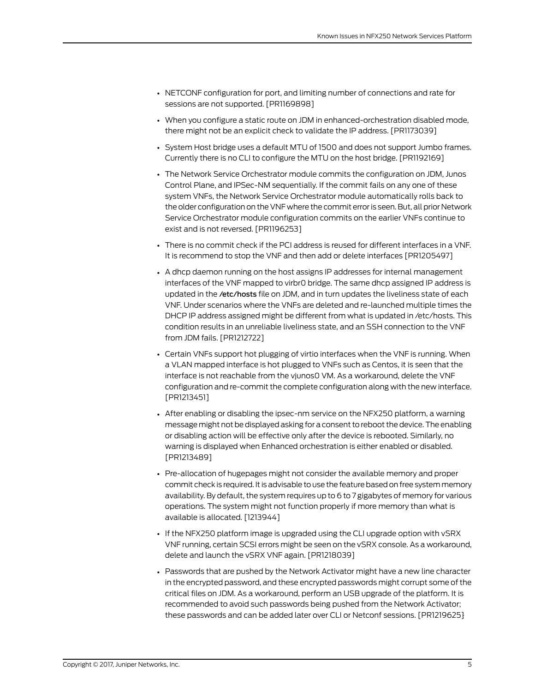- NETCONF configuration for port, and limiting number of connections and rate for sessions are not supported. [PR1169898]
- When you configure a static route on JDM in enhanced-orchestration disabled mode, there might not be an explicit check to validate the IP address. [PR1173039]
- System Host bridge uses a default MTU of 1500 and does not support Jumbo frames. Currently there is no CLI to configure the MTU on the host bridge. [PR1192169]
- The Network Service Orchestrator module commits the configuration on JDM, Junos Control Plane, and IPSec-NM sequentially. If the commit fails on any one of these system VNFs, the Network Service Orchestrator module automatically rolls back to the older configuration on the VNF where the commit erroris seen. But, all prior Network Service Orchestrator module configuration commits on the earlier VNFs continue to exist and is not reversed. [PR1196253]
- There is no commit check if the PCI address is reused for different interfaces in a VNF. It is recommend to stop the VNF and then add or delete interfaces [PR1205497]
- A dhcp daemon running on the host assigns IP addresses for internal management interfaces of the VNF mapped to virbr0 bridge. The same dhcp assigned IP address is updated in the /etc/hosts file on JDM, and in turn updates the liveliness state of each VNF. Under scenarios where the VNFs are deleted and re-launched multiple times the DHCP IP address assigned might be different from what is updated in /etc/hosts. This condition results in an unreliable liveliness state, and an SSH connection to the VNF from JDM fails. [PR1212722]
- Certain VNFs support hot plugging of virtio interfaces when the VNF is running. When a VLAN mapped interface is hot plugged to VNFs such as Centos, it is seen that the interface is not reachable from the vjunos0 VM. As a workaround, delete the VNF configuration and re-commit the complete configuration along with the new interface. [PR1213451]
- After enabling or disabling the ipsec-nm service on the NFX250 platform, a warning message might not be displayed asking for a consent to reboot the device.The enabling or disabling action will be effective only after the device is rebooted. Similarly, no warning is displayed when Enhanced orchestration is either enabled or disabled. [PR1213489]
- Pre-allocation of hugepages might not consider the available memory and proper commit check is required. It is advisable to use the feature based on free system memory availability. By default, the system requires up to 6 to 7 gigabytes of memory for various operations. The system might not function properly if more memory than what is available is allocated. [1213944]
- If the NFX250 platform image is upgraded using the CLI upgrade option with vSRX VNF running, certain SCSI errors might be seen on the vSRX console. As a workaround, delete and launch the vSRX VNF again. [PR1218039]
- Passwords that are pushed by the Network Activator might have a new line character in the encrypted password, and these encrypted passwords might corrupt some of the critical files on JDM. As a workaround, perform an USB upgrade of the platform. It is recommended to avoid such passwords being pushed from the Network Activator; these passwords and can be added later over CLI or Netconf sessions. [PR1219625}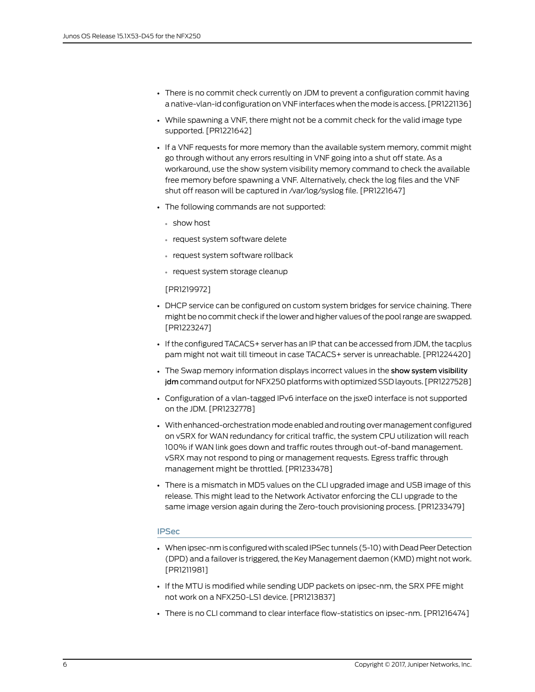- There is no commit check currently on JDM to prevent a configuration commit having a native-vlan-id configuration on VNF interfaces when themode is access. [PR1221136]
- While spawning a VNF, there might not be a commit check for the valid image type supported. [PR1221642]
- If a VNF requests for more memory than the available system memory, commit might go through without any errors resulting in VNF going into a shut off state. As a workaround, use the show system visibility memory command to check the available free memory before spawning a VNF. Alternatively, check the log files and the VNF shut off reason will be captured in /var/log/syslog file. [PR1221647]
- The following commands are not supported:
	- show host
	- request system software delete
	- request system software rollback
	- request system storage cleanup

[PR1219972]

- DHCP service can be configured on custom system bridges for service chaining. There might be no commit check if the lower and higher values of the poolrange are swapped. [PR1223247]
- If the configured TACACS+ server has an IP that can be accessed from JDM, the tacplus pam might not wait till timeout in case TACACS+ server is unreachable. [PR1224420]
- The Swap memory information displays incorrect values in the show system visibility jdm command output for NFX250 platforms with optimized SSD layouts. [PR1227528]
- Configuration of a vlan-tagged IPv6 interface on the jsxe0 interface is not supported on the JDM. [PR1232778]
- With enhanced-orchestration mode enabled and routing over management configured on vSRX for WAN redundancy for critical traffic, the system CPU utilization will reach 100% if WAN link goes down and traffic routes through out-of-band management. vSRX may not respond to ping or management requests. Egress traffic through management might be throttled. [PR1233478]
- <span id="page-5-0"></span>• There is a mismatch in MD5 values on the CLI upgraded image and USB image of this release. This might lead to the Network Activator enforcing the CLI upgrade to the same image version again during the Zero-touch provisioning process. [PR1233479]

## IPSec

- When ipsec-nm is configured with scaled IPSec tunnels (5-10) with Dead Peer Detection (DPD) and a failoveris triggered, the Key Management daemon (KMD) might not work. [PR1211981]
- If the MTU is modified while sending UDP packets on ipsec-nm, the SRX PFE might not work on a NFX250-LS1 device. [PR1213837]
- There is no CLI command to clear interface flow-statistics on ipsec-nm. [PR1216474]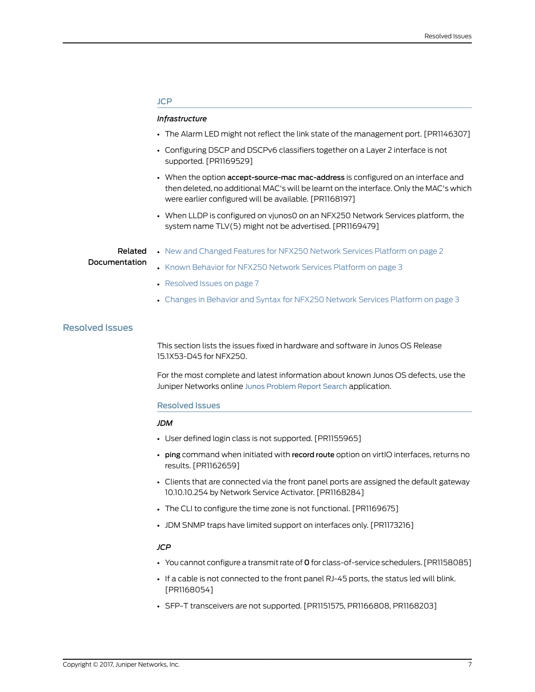#### <span id="page-6-0"></span>JCP

#### *Infrastructure*

- The Alarm LED might not reflect the link state of the management port. [PR1146307]
- Configuring DSCP and DSCPv6 classifiers together on a Layer 2 interface is not supported. [PR1169529]
- When the option accept-source-mac mac-address is configured on an interface and then deleted, no additional MAC's will be learnt on the interface. Only the MAC's which were earlier configured will be available. [PR1168197]
- When LLDP is configured on vjunos0 on an NFX250 Network Services platform, the system name TLV(5) might not be advertised. [PR1169479]

## Related Documentation

- New and [Changed](#page-1-1) Features for NFX250 Network Services Platform on page 2
- Known Behavior for NFX250 Network Services [Platform](#page-2-2) on page 3
- [Resolved](#page-6-1) Issues on page 7
- Changes in Behavior and Syntax for NFX250 Network Services [Platform](#page-2-1) on page 3

## <span id="page-6-1"></span>Resolved Issues

This section lists the issues fixed in hardware and software in Junos OS Release 15.1X53-D45 for NFX250.

<span id="page-6-2"></span>For the most complete and latest information about known Junos OS defects, use the Juniper Networks online Junos [Problem](http://prsearch.juniper.net) Report Search application.

#### Resolved Issues

## *JDM*

- User defined login class is not supported. [PR1155965]
- ping command when initiated with record route option on virtIO interfaces, returns no results. [PR1162659]
- Clients that are connected via the front panel ports are assigned the default gateway 10.10.10.254 by Network Service Activator. [PR1168284]
- The CLI to configure the time zone is not functional. [PR1169675]
- JDM SNMP traps have limited support on interfaces only. [PR1173216]

## *JCP*

- You cannot configure a transmit rate of 0 for class-of-service schedulers. [PR1158085]
- If a cable is not connected to the front panel RJ-45 ports, the status led will blink. [PR1168054]
- SFP-T transceivers are not supported. [PR1151575, PR1166808, PR1168203]